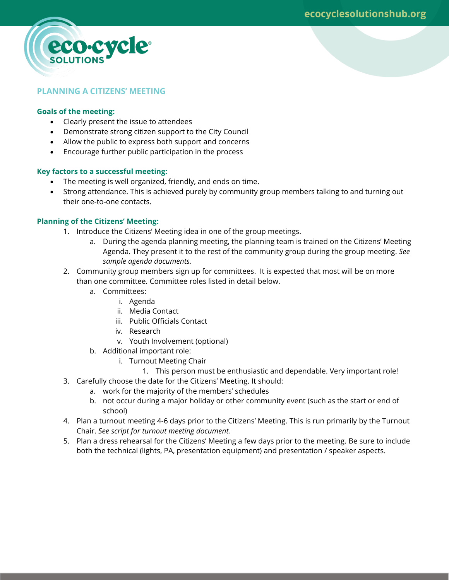

# **PLANNING A CITIZENS' MEETING**

#### **Goals of the meeting:**

- Clearly present the issue to attendees
- Demonstrate strong citizen support to the City Council
- Allow the public to express both support and concerns
- Encourage further public participation in the process

# **Key factors to a successful meeting:**

- The meeting is well organized, friendly, and ends on time.
- Strong attendance. This is achieved purely by community group members talking to and turning out their one-to-one contacts.

# **Planning of the Citizens' Meeting:**

- 1. Introduce the Citizens' Meeting idea in one of the group meetings.
	- a. During the agenda planning meeting, the planning team is trained on the Citizens' Meeting Agenda. They present it to the rest of the community group during the group meeting. *See sample agenda documents.*
- 2. Community group members sign up for committees. It is expected that most will be on more than one committee. Committee roles listed in detail below.
	- a. Committees:
		- i. Agenda
		- ii. Media Contact
		- iii. Public Officials Contact
		- iv. Research
		- v. Youth Involvement (optional)
	- b. Additional important role:
		- i. Turnout Meeting Chair
			- 1. This person must be enthusiastic and dependable. Very important role!
- 3. Carefully choose the date for the Citizens' Meeting. It should:
	- a. work for the majority of the members' schedules
	- b. not occur during a major holiday or other community event (such as the start or end of school)
- 4. Plan a turnout meeting 4-6 days prior to the Citizens' Meeting. This is run primarily by the Turnout Chair. *See script for turnout meeting document.*
- 5. Plan a dress rehearsal for the Citizens' Meeting a few days prior to the meeting. Be sure to include both the technical (lights, PA, presentation equipment) and presentation / speaker aspects.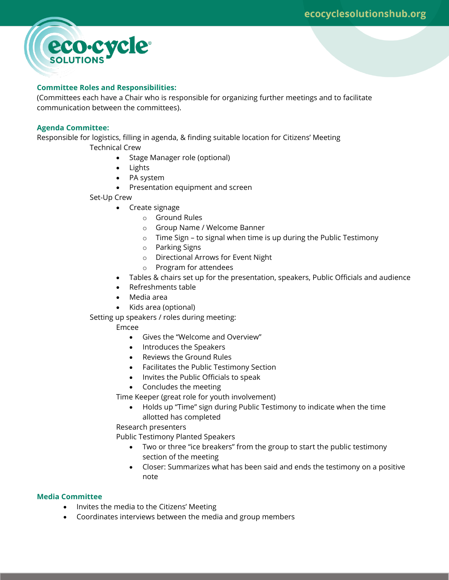

# **Committee Roles and Responsibilities:**

(Committees each have a Chair who is responsible for organizing further meetings and to facilitate communication between the committees).

# **Agenda Committee:**

Responsible for logistics, filling in agenda, & finding suitable location for Citizens' Meeting

Technical Crew

- Stage Manager role (optional)
- Lights
- PA system
- Presentation equipment and screen

# Set-Up Crew

- Create signage
	- o Ground Rules
	- o Group Name / Welcome Banner
	- o Time Sign to signal when time is up during the Public Testimony
	- o Parking Signs
	- o Directional Arrows for Event Night
	- o Program for attendees
- Tables & chairs set up for the presentation, speakers, Public Officials and audience
- Refreshments table
- Media area
- Kids area (optional)

Setting up speakers / roles during meeting:

# Emcee

- Gives the "Welcome and Overview"
- Introduces the Speakers
- Reviews the Ground Rules
- Facilitates the Public Testimony Section
- Invites the Public Officials to speak
- Concludes the meeting

Time Keeper (great role for youth involvement)

 Holds up "Time" sign during Public Testimony to indicate when the time allotted has completed

Research presenters

Public Testimony Planted Speakers

- Two or three "ice breakers" from the group to start the public testimony section of the meeting
- Closer: Summarizes what has been said and ends the testimony on a positive note

# **Media Committee**

- Invites the media to the Citizens' Meeting
- Coordinates interviews between the media and group members